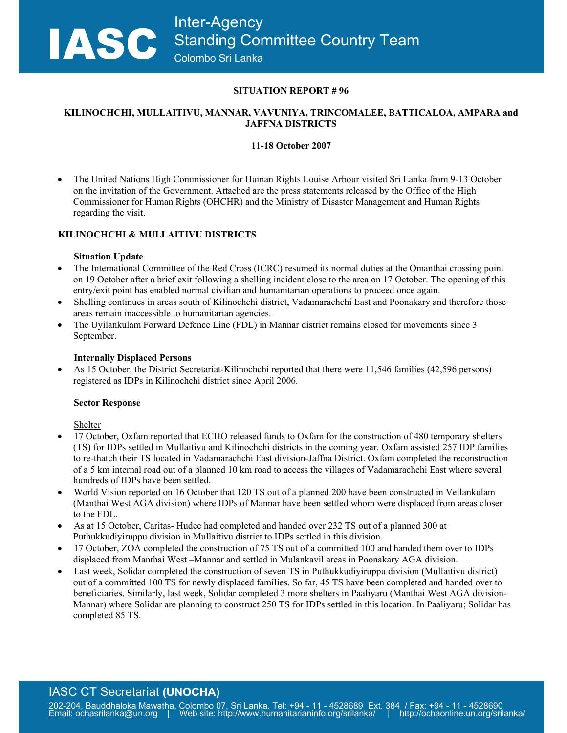## **SITUATION REPORT # 96**

## **KILINOCHCHI, MULLAITIVU, MANNAR, VAVUNIYA, TRINCOMALEE, BATTICALOA, AMPARA and JAFFNA DISTRICTS**

# **11-18 October 2007**

• The United Nations High Commissioner for Human Rights Louise Arbour visited Sri Lanka from 9-13 October on the invitation of the Government. Attached are the press statements released by the Office of the High Commissioner for Human Rights (OHCHR) and the Ministry of Disaster Management and Human Rights regarding the visit.

## **KILINOCHCHI & MULLAITIVU DISTRICTS**

### **Situation Update**

- The International Committee of the Red Cross (ICRC) resumed its normal duties at the Omanthai crossing point on 19 October after a brief exit following a shelling incident close to the area on 17 October. The opening of this entry/exit point has enabled normal civilian and humanitarian operations to proceed once again.
- Shelling continues in areas south of Kilinochchi district, Vadamarachchi East and Poonakary and therefore those areas remain inaccessible to humanitarian agencies.
- The Uyilankulam Forward Defence Line (FDL) in Mannar district remains closed for movements since 3 September.

### **Internally Displaced Persons**

• As 15 October, the District Secretariat-Kilinochchi reported that there were 11,546 families (42,596 persons) registered as IDPs in Kilinochchi district since April 2006.

### **Sector Response**

Shelter

- 17 October, Oxfam reported that ECHO released funds to Oxfam for the construction of 480 temporary shelters (TS) for IDPs settled in Mullaitivu and Kilinochchi districts in the coming year. Oxfam assisted 257 IDP families to re-thatch their TS located in Vadamarachchi East division-Jaffna District. Oxfam completed the reconstruction of a 5 km internal road out of a planned 10 km road to access the villages of Vadamarachchi East where several hundreds of IDPs have been settled.
- World Vision reported on 16 October that 120 TS out of a planned 200 have been constructed in Vellankulam (Manthai West AGA division) where IDPs of Mannar have been settled whom were displaced from areas closer to the FDL.
- As at 15 October, Caritas-Hudec had completed and handed over 232 TS out of a planned 300 at Puthukkudiyiruppu division in Mullaitivu district to IDPs settled in this division.
- 17 October, ZOA completed the construction of 75 TS out of a committed 100 and handed them over to IDPs displaced from Manthai West –Mannar and settled in Mulankavil areas in Poonakary AGA division.
- Last week, Solidar completed the construction of seven TS in Puthukkudiyiruppu division (Mullaitivu district) out of a committed 100 TS for newly displaced families. So far, 45 TS have been completed and handed over to beneficiaries. Similarly, last week, Solidar completed 3 more shelters in Paaliyaru (Manthai West AGA division-Mannar) where Solidar are planning to construct 250 TS for IDPs settled in this location. In Paaliyaru; Solidar has completed 85 TS.

# IASC CT Secretariat **(UNOCHA)**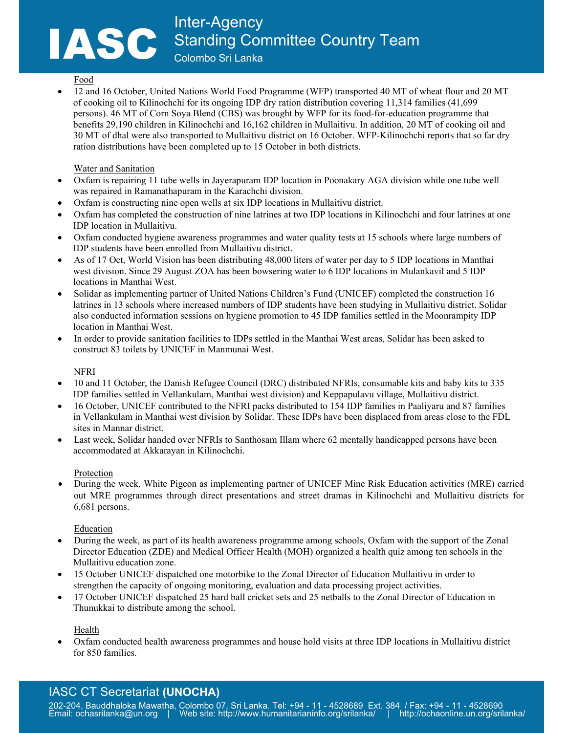### Food

• 12 and 16 October, United Nations World Food Programme (WFP) transported 40 MT of wheat flour and 20 MT of cooking oil to Kilinochchi for its ongoing IDP dry ration distribution covering 11,314 families (41,699 persons). 46 MT of Corn Soya Blend (CBS) was brought by WFP for its food-for-education programme that benefits 29,190 children in Kilinochchi and 16,162 children in Mullaitivu. In addition, 20 MT of cooking oil and 30 MT of dhal were also transported to Mullaitivu district on 16 October. WFP-Kilinochchi reports that so far dry ration distributions have been completed up to 15 October in both districts.

## Water and Sanitation

- Oxfam is repairing 11 tube wells in Jayerapuram IDP location in Poonakary AGA division while one tube well was repaired in Ramanathapuram in the Karachchi division.
- Oxfam is constructing nine open wells at six IDP locations in Mullaitivu district.
- Oxfam has completed the construction of nine latrines at two IDP locations in Kilinochchi and four latrines at one IDP location in Mullaitivu.
- Oxfam conducted hygiene awareness programmes and water quality tests at 15 schools where large numbers of IDP students have been enrolled from Mullaitivu district.
- As of 17 Oct, World Vision has been distributing 48,000 liters of water per day to 5 IDP locations in Manthai west division. Since 29 August ZOA has been bowsering water to 6 IDP locations in Mulankavil and 5 IDP locations in Manthai West.
- Solidar as implementing partner of United Nations Children's Fund (UNICEF) completed the construction 16 latrines in 13 schools where increased numbers of IDP students have been studying in Mullaitivu district. Solidar also conducted information sessions on hygiene promotion to 45 IDP families settled in the Moonrampity IDP location in Manthai West.
- In order to provide sanitation facilities to IDPs settled in the Manthai West areas, Solidar has been asked to construct 83 toilets by UNICEF in Manmunai West.

# NFRI

- 10 and 11 October, the Danish Refugee Council (DRC) distributed NFRIs, consumable kits and baby kits to 335 IDP families settled in Vellankulam, Manthai west division) and Keppapulavu village, Mullaitivu district.
- 16 October, UNICEF contributed to the NFRI packs distributed to 154 IDP families in Paaliyaru and 87 families in Vellankulam in Manthai west division by Solidar. These IDPs have been displaced from areas close to the FDL sites in Mannar district.
- Last week, Solidar handed over NFRIs to Santhosam Illam where 62 mentally handicapped persons have been accommodated at Akkarayan in Kilinochchi.

### Protection

• During the week, White Pigeon as implementing partner of UNICEF Mine Risk Education activities (MRE) carried out MRE programmes through direct presentations and street dramas in Kilinochchi and Mullaitivu districts for 6,681 persons.

### Education

- During the week, as part of its health awareness programme among schools, Oxfam with the support of the Zonal Director Education (ZDE) and Medical Officer Health (MOH) organized a health quiz among ten schools in the Mullaitivu education zone.
- 15 October UNICEF dispatched one motorbike to the Zonal Director of Education Mullaitivu in order to strengthen the capacity of ongoing monitoring, evaluation and data processing project activities.
- 17 October UNICEF dispatched 25 hard ball cricket sets and 25 netballs to the Zonal Director of Education in Thunukkai to distribute among the school.

Health

• Oxfam conducted health awareness programmes and house hold visits at three IDP locations in Mullaitivu district for 850 families.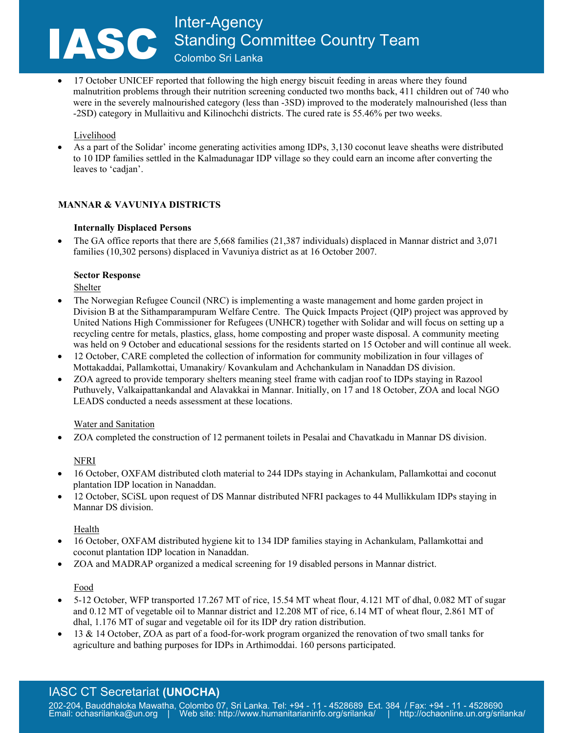• 17 October UNICEF reported that following the high energy biscuit feeding in areas where they found malnutrition problems through their nutrition screening conducted two months back, 411 children out of 740 who were in the severely malnourished category (less than -3SD) improved to the moderately malnourished (less than -2SD) category in Mullaitivu and Kilinochchi districts. The cured rate is 55.46% per two weeks.

# Livelihood

• As a part of the Solidar' income generating activities among IDPs, 3,130 coconut leave sheaths were distributed to 10 IDP families settled in the Kalmadunagar IDP village so they could earn an income after converting the leaves to 'cadjan'.

# **MANNAR & VAVUNIYA DISTRICTS**

## **Internally Displaced Persons**

• The GA office reports that there are 5,668 families (21,387 individuals) displaced in Mannar district and 3,071 families (10,302 persons) displaced in Vavuniya district as at 16 October 2007.

## **Sector Response**

Shelter

- The Norwegian Refugee Council (NRC) is implementing a waste management and home garden project in Division B at the Sithamparampuram Welfare Centre. The Quick Impacts Project (QIP) project was approved by United Nations High Commissioner for Refugees (UNHCR) together with Solidar and will focus on setting up a recycling centre for metals, plastics, glass, home composting and proper waste disposal. A community meeting was held on 9 October and educational sessions for the residents started on 15 October and will continue all week.
- 12 October, CARE completed the collection of information for community mobilization in four villages of Mottakaddai, Pallamkottai, Umanakiry/ Kovankulam and Achchankulam in Nanaddan DS division.
- ZOA agreed to provide temporary shelters meaning steel frame with cadjan roof to IDPs staying in Razool Puthuvely, Valkaipattankandal and Alavakkai in Mannar. Initially, on 17 and 18 October, ZOA and local NGO LEADS conducted a needs assessment at these locations.

### Water and Sanitation

• ZOA completed the construction of 12 permanent toilets in Pesalai and Chavatkadu in Mannar DS division.

# NFRI

- 16 October, OXFAM distributed cloth material to 244 IDPs staying in Achankulam, Pallamkottai and coconut plantation IDP location in Nanaddan.
- 12 October, SCiSL upon request of DS Mannar distributed NFRI packages to 44 Mullikkulam IDPs staying in Mannar DS division.

# Health

- 16 October, OXFAM distributed hygiene kit to 134 IDP families staying in Achankulam, Pallamkottai and coconut plantation IDP location in Nanaddan.
- ZOA and MADRAP organized a medical screening for 19 disabled persons in Mannar district.

### Food

- 5-12 October, WFP transported 17.267 MT of rice, 15.54 MT wheat flour, 4.121 MT of dhal, 0.082 MT of sugar and 0.12 MT of vegetable oil to Mannar district and 12.208 MT of rice, 6.14 MT of wheat flour, 2.861 MT of dhal, 1.176 MT of sugar and vegetable oil for its IDP dry ration distribution.
- 13 & 14 October, ZOA as part of a food-for-work program organized the renovation of two small tanks for agriculture and bathing purposes for IDPs in Arthimoddai. 160 persons participated.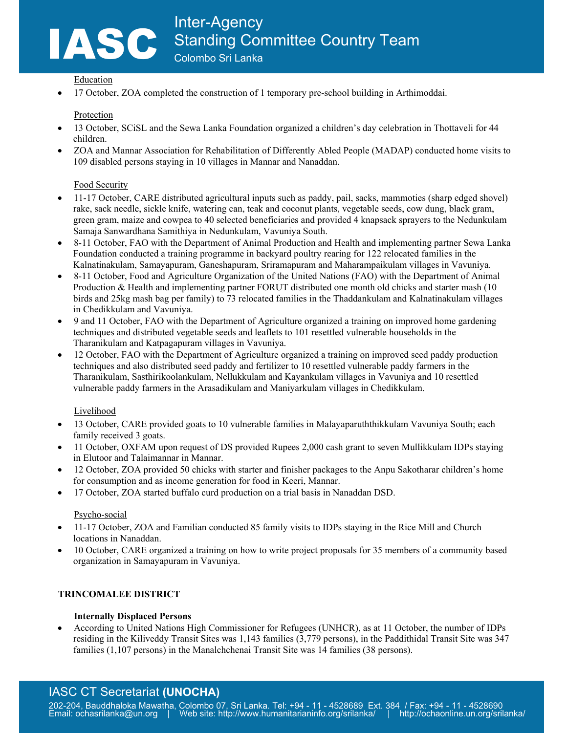## Education

• 17 October, ZOA completed the construction of 1 temporary pre-school building in Arthimoddai.

## Protection

- 13 October, SCiSL and the Sewa Lanka Foundation organized a children's day celebration in Thottaveli for 44 children.
- ZOA and Mannar Association for Rehabilitation of Differently Abled People (MADAP) conducted home visits to 109 disabled persons staying in 10 villages in Mannar and Nanaddan.

# Food Security

- 11-17 October, CARE distributed agricultural inputs such as paddy, pail, sacks, mammoties (sharp edged shovel) rake, sack needle, sickle knife, watering can, teak and coconut plants, vegetable seeds, cow dung, black gram, green gram, maize and cowpea to 40 selected beneficiaries and provided 4 knapsack sprayers to the Nedunkulam Samaja Sanwardhana Samithiya in Nedunkulam, Vavuniya South.
- 8-11 October, FAO with the Department of Animal Production and Health and implementing partner Sewa Lanka Foundation conducted a training programme in backyard poultry rearing for 122 relocated families in the Kalnatinakulam, Samayapuram, Ganeshapuram, Sriramapuram and Maharampaikulam villages in Vavuniya.
- 8-11 October, Food and Agriculture Organization of the United Nations (FAO) with the Department of Animal Production & Health and implementing partner FORUT distributed one month old chicks and starter mash (10 birds and 25kg mash bag per family) to 73 relocated families in the Thaddankulam and Kalnatinakulam villages in Chedikkulam and Vavuniya.
- 9 and 11 October, FAO with the Department of Agriculture organized a training on improved home gardening techniques and distributed vegetable seeds and leaflets to 101 resettled vulnerable households in the Tharanikulam and Katpagapuram villages in Vavuniya.
- 12 October, FAO with the Department of Agriculture organized a training on improved seed paddy production techniques and also distributed seed paddy and fertilizer to 10 resettled vulnerable paddy farmers in the Tharanikulam, Sasthirikoolankulam, Nellukkulam and Kayankulam villages in Vavuniya and 10 resettled vulnerable paddy farmers in the Arasadikulam and Maniyarkulam villages in Chedikkulam.

### Livelihood

- 13 October, CARE provided goats to 10 vulnerable families in Malayaparuththikkulam Vavuniya South; each family received 3 goats.
- 11 October, OXFAM upon request of DS provided Rupees 2,000 cash grant to seven Mullikkulam IDPs staying in Elutoor and Talaimannar in Mannar.
- 12 October, ZOA provided 50 chicks with starter and finisher packages to the Anpu Sakotharar children's home for consumption and as income generation for food in Keeri, Mannar.
- 17 October, ZOA started buffalo curd production on a trial basis in Nanaddan DSD.

### Psycho-social

- 11-17 October, ZOA and Familian conducted 85 family visits to IDPs staying in the Rice Mill and Church locations in Nanaddan.
- 10 October, CARE organized a training on how to write project proposals for 35 members of a community based organization in Samayapuram in Vavuniya.

# **TRINCOMALEE DISTRICT**

### **Internally Displaced Persons**

• According to United Nations High Commissioner for Refugees (UNHCR), as at 11 October, the number of IDPs residing in the Kiliveddy Transit Sites was 1,143 families (3,779 persons), in the Paddithidal Transit Site was 347 families (1,107 persons) in the Manalchchenai Transit Site was 14 families (38 persons).

# IASC CT Secretariat **(UNOCHA)**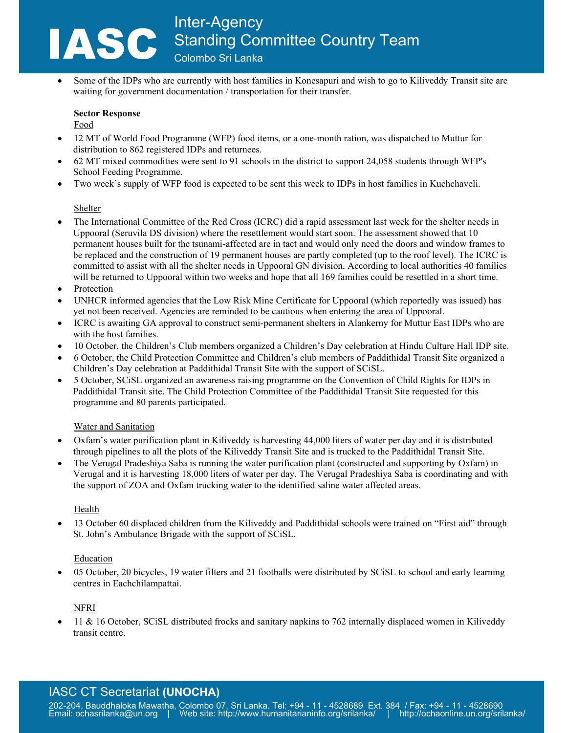• Some of the IDPs who are currently with host families in Konesapuri and wish to go to Kiliveddy Transit site are waiting for government documentation / transportation for their transfer.

# **Sector Response**

Food

- 12 MT of World Food Programme (WFP) food items, or a one-month ration, was dispatched to Muttur for distribution to 862 registered IDPs and returnees.
- 62 MT mixed commodities were sent to 91 schools in the district to support 24,058 students through WFP's School Feeding Programme.
- Two week's supply of WFP food is expected to be sent this week to IDPs in host families in Kuchchaveli.

# Shelter

- The International Committee of the Red Cross (ICRC) did a rapid assessment last week for the shelter needs in Uppooral (Seruvila DS division) where the resettlement would start soon. The assessment showed that 10 permanent houses built for the tsunami-affected are in tact and would only need the doors and window frames to be replaced and the construction of 19 permanent houses are partly completed (up to the roof level). The ICRC is committed to assist with all the shelter needs in Uppooral GN division. According to local authorities 40 families will be returned to Uppooral within two weeks and hope that all 169 families could be resettled in a short time.
- Protection
- UNHCR informed agencies that the Low Risk Mine Certificate for Uppooral (which reportedly was issued) has yet not been received. Agencies are reminded to be cautious when entering the area of Uppooral.
- ICRC is awaiting GA approval to construct semi-permanent shelters in Alankerny for Muttur East IDPs who are with the host families.
- 10 October, the Children's Club members organized a Children's Day celebration at Hindu Culture Hall IDP site.
- 6 October, the Child Protection Committee and Children's club members of Paddithidal Transit Site organized a Children's Day celebration at Paddithidal Transit Site with the support of SCiSL.
- 5 October, SCiSL organized an awareness raising programme on the Convention of Child Rights for IDPs in Paddithidal Transit site. The Child Protection Committee of the Paddithidal Transit Site requested for this programme and 80 parents participated.

# Water and Sanitation

- Oxfam's water purification plant in Kiliveddy is harvesting 44,000 liters of water per day and it is distributed through pipelines to all the plots of the Kiliveddy Transit Site and is trucked to the Paddithidal Transit Site.
- The Verugal Pradeshiya Saba is running the water purification plant (constructed and supporting by Oxfam) in Verugal and it is harvesting 18,000 liters of water per day. The Verugal Pradeshiya Saba is coordinating and with the support of ZOA and Oxfam trucking water to the identified saline water affected areas.

# Health

• 13 October 60 displaced children from the Kiliveddy and Paddithidal schools were trained on "First aid" through St. John's Ambulance Brigade with the support of SCiSL.

# Education

• 05 October, 20 bicycles, 19 water filters and 21 footballs were distributed by SCiSL to school and early learning centres in Eachchilampattai.

# NFRI

• 11 & 16 October, SCiSL distributed frocks and sanitary napkins to 762 internally displaced women in Kiliveddy transit centre.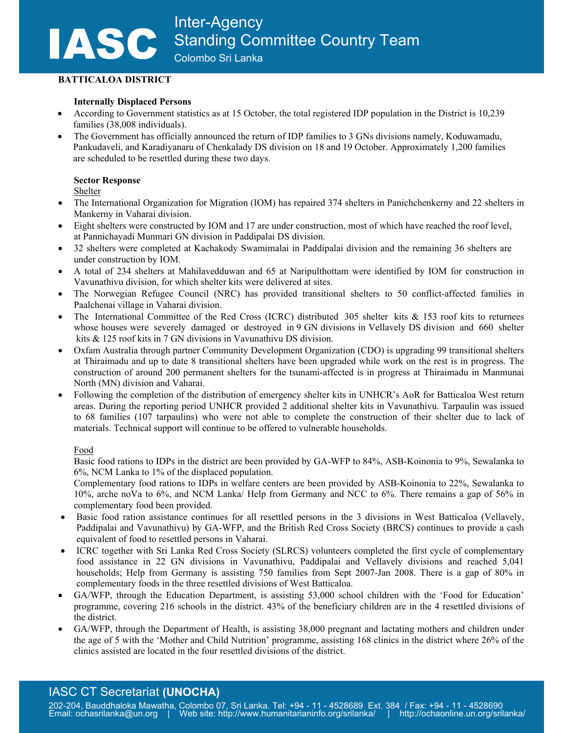## **BATTICALOA DISTRICT**

## **Internally Displaced Persons**

- According to Government statistics as at 15 October, the total registered IDP population in the District is 10,239 families (38,008 individuals).
- The Government has officially announced the return of IDP families to 3 GNs divisions namely, Koduwamadu, Pankudaveli, and Karadiyanaru of Chenkalady DS division on 18 and 19 October. Approximately 1,200 families are scheduled to be resettled during these two days.

## **Sector Response**

Shelter

- The International Organization for Migration (IOM) has repaired 374 shelters in Panichchenkerny and 22 shelters in Mankerny in Vaharai division.
- Eight shelters were constructed by IOM and 17 are under construction, most of which have reached the roof level, at Pannichayadi Munmari GN division in Paddipalai DS division.
- 32 shelters were completed at Kachakody Swamimalai in Paddipalai division and the remaining 36 shelters are under construction by IOM.
- A total of 234 shelters at Mahilavedduwan and 65 at Naripulthottam were identified by IOM for construction in Vavunathivu division, for which shelter kits were delivered at sites.
- The Norwegian Refugee Council (NRC) has provided transitional shelters to 50 conflict-affected families in Paalchenai village in Vaharai division.
- The International Committee of the Red Cross (ICRC) distributed 305 shelter kits & 153 roof kits to returnees whose houses were severely damaged or destroyed in 9 GN divisions in Vellavely DS division and 660 shelter kits & 125 roof kits in 7 GN divisions in Vavunathivu DS division.
- Oxfam Australia through partner Community Development Organization (CDO) is upgrading 99 transitional shelters at Thiraimadu and up to date 8 transitional shelters have been upgraded while work on the rest is in progress. The construction of around 200 permanent shelters for the tsunami-affected is in progress at Thiraimadu in Manmunai North (MN) division and Vaharai.
- Following the completion of the distribution of emergency shelter kits in UNHCR's AoR for Batticaloa West return areas. During the reporting period UNHCR provided 2 additional shelter kits in Vavunathivu. Tarpaulin was issued to 68 families (107 tarpaulins) who were not able to complete the construction of their shelter due to lack of materials. Technical support will continue to be offered to vulnerable households.

### Food

Basic food rations to IDPs in the district are been provided by GA-WFP to 84%, ASB-Koinonia to 9%, Sewalanka to 6%, NCM Lanka to 1% of the displaced population.

Complementary food rations to IDPs in welfare centers are been provided by ASB-Koinonia to 22%, Sewalanka to 10%, arche noVa to 6%, and NCM Lanka/ Help from Germany and NCC to 6%. There remains a gap of 56% in complementary food been provided.

- Basic food ration assistance continues for all resettled persons in the 3 divisions in West Batticaloa (Vellavely, Paddipalai and Vavunathivu) by GA-WFP, and the British Red Cross Society (BRCS) continues to provide a cash equivalent of food to resettled persons in Vaharai.
- ICRC together with Sri Lanka Red Cross Society (SLRCS) volunteers completed the first cycle of complementary food assistance in 22 GN divisions in Vavunathivu, Paddipalai and Vellavely divisions and reached 5,041 households; Help from Germany is assisting 750 families from Sept 2007-Jan 2008. There is a gap of 80% in complementary foods in the three resettled divisions of West Batticaloa.
- GA/WFP, through the Education Department, is assisting 53,000 school children with the 'Food for Education' programme, covering 216 schools in the district. 43% of the beneficiary children are in the 4 resettled divisions of the district.
- GA/WFP, through the Department of Health, is assisting 38,000 pregnant and lactating mothers and children under the age of 5 with the 'Mother and Child Nutrition' programme, assisting 168 clinics in the district where 26% of the clinics assisted are located in the four resettled divisions of the district.

# IASC CT Secretariat **(UNOCHA)**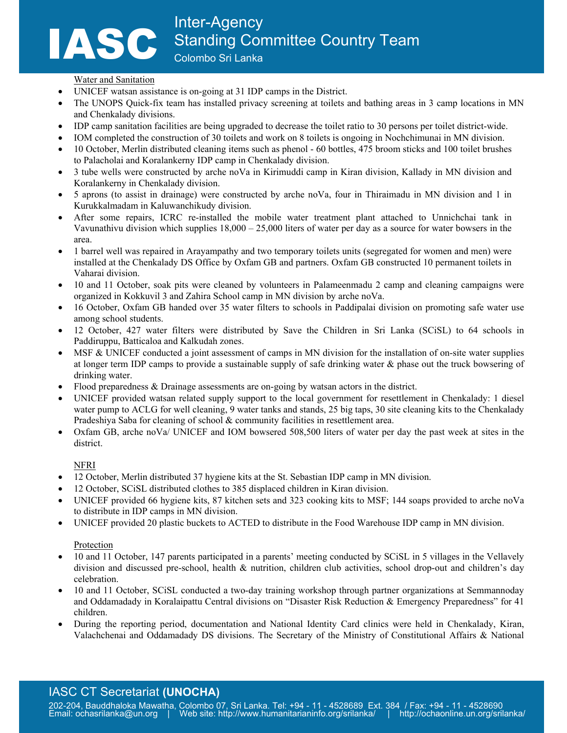#### Water and Sanitation

- UNICEF watsan assistance is on-going at 31 IDP camps in the District.
- The UNOPS Quick-fix team has installed privacy screening at toilets and bathing areas in 3 camp locations in MN and Chenkalady divisions.
- IDP camp sanitation facilities are being upgraded to decrease the toilet ratio to 30 persons per toilet district-wide.
- IOM completed the construction of 30 toilets and work on 8 toilets is ongoing in Nochchimunai in MN division.
- 10 October, Merlin distributed cleaning items such as phenol 60 bottles, 475 broom sticks and 100 toilet brushes to Palacholai and Koralankerny IDP camp in Chenkalady division.
- 3 tube wells were constructed by arche noVa in Kirimuddi camp in Kiran division, Kallady in MN division and Koralankerny in Chenkalady division.
- 5 aprons (to assist in drainage) were constructed by arche noVa, four in Thiraimadu in MN division and 1 in Kurukkalmadam in Kaluwanchikudy division.
- After some repairs, ICRC re-installed the mobile water treatment plant attached to Unnichchai tank in Vavunathivu division which supplies  $18,000 - 25,000$  liters of water per day as a source for water bowsers in the area.
- 1 barrel well was repaired in Arayampathy and two temporary toilets units (segregated for women and men) were installed at the Chenkalady DS Office by Oxfam GB and partners. Oxfam GB constructed 10 permanent toilets in Vaharai division.
- 10 and 11 October, soak pits were cleaned by volunteers in Palameenmadu 2 camp and cleaning campaigns were organized in Kokkuvil 3 and Zahira School camp in MN division by arche noVa.
- 16 October, Oxfam GB handed over 35 water filters to schools in Paddipalai division on promoting safe water use among school students.
- 12 October, 427 water filters were distributed by Save the Children in Sri Lanka (SCiSL) to 64 schools in Paddiruppu, Batticaloa and Kalkudah zones.
- MSF & UNICEF conducted a joint assessment of camps in MN division for the installation of on-site water supplies at longer term IDP camps to provide a sustainable supply of safe drinking water & phase out the truck bowsering of drinking water.
- Flood preparedness & Drainage assessments are on-going by watsan actors in the district.
- UNICEF provided watsan related supply support to the local government for resettlement in Chenkalady: 1 diesel water pump to ACLG for well cleaning, 9 water tanks and stands, 25 big taps, 30 site cleaning kits to the Chenkalady Pradeshiya Saba for cleaning of school & community facilities in resettlement area.
- Oxfam GB, arche noVa/ UNICEF and IOM bowsered 508,500 liters of water per day the past week at sites in the district.

# NFRI

- 12 October, Merlin distributed 37 hygiene kits at the St. Sebastian IDP camp in MN division.
- 12 October, SCiSL distributed clothes to 385 displaced children in Kiran division.
- UNICEF provided 66 hygiene kits, 87 kitchen sets and 323 cooking kits to MSF; 144 soaps provided to arche noVa to distribute in IDP camps in MN division.
- UNICEF provided 20 plastic buckets to ACTED to distribute in the Food Warehouse IDP camp in MN division.

### Protection

- 10 and 11 October, 147 parents participated in a parents' meeting conducted by SCiSL in 5 villages in the Vellavely division and discussed pre-school, health & nutrition, children club activities, school drop-out and children's day celebration.
- 10 and 11 October, SCiSL conducted a two-day training workshop through partner organizations at Semmannoday and Oddamadady in Koralaipattu Central divisions on "Disaster Risk Reduction & Emergency Preparedness" for 41 children.
- During the reporting period, documentation and National Identity Card clinics were held in Chenkalady, Kiran, Valachchenai and Oddamadady DS divisions. The Secretary of the Ministry of Constitutional Affairs & National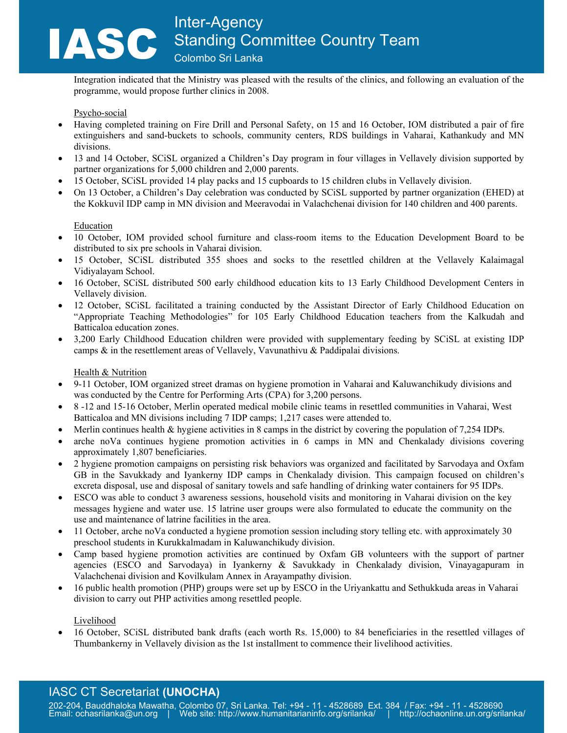Integration indicated that the Ministry was pleased with the results of the clinics, and following an evaluation of the programme, would propose further clinics in 2008.

### Psycho-social

- Having completed training on Fire Drill and Personal Safety, on 15 and 16 October, IOM distributed a pair of fire extinguishers and sand-buckets to schools, community centers, RDS buildings in Vaharai, Kathankudy and MN divisions.
- 13 and 14 October, SCiSL organized a Children's Day program in four villages in Vellavely division supported by partner organizations for 5,000 children and 2,000 parents.
- 15 October, SCiSL provided 14 play packs and 15 cupboards to 15 children clubs in Vellavely division.
- On 13 October, a Children's Day celebration was conducted by SCiSL supported by partner organization (EHED) at the Kokkuvil IDP camp in MN division and Meeravodai in Valachchenai division for 140 children and 400 parents.

#### Education

- 10 October, IOM provided school furniture and class-room items to the Education Development Board to be distributed to six pre schools in Vaharai division.
- 15 October, SCiSL distributed 355 shoes and socks to the resettled children at the Vellavely Kalaimagal Vidiyalayam School.
- 16 October, SCiSL distributed 500 early childhood education kits to 13 Early Childhood Development Centers in Vellavely division.
- 12 October, SCiSL facilitated a training conducted by the Assistant Director of Early Childhood Education on "Appropriate Teaching Methodologies" for 105 Early Childhood Education teachers from the Kalkudah and Batticaloa education zones.
- 3,200 Early Childhood Education children were provided with supplementary feeding by SCiSL at existing IDP camps & in the resettlement areas of Vellavely, Vavunathivu & Paddipalai divisions.

### Health & Nutrition

- 9-11 October, IOM organized street dramas on hygiene promotion in Vaharai and Kaluwanchikudy divisions and was conducted by the Centre for Performing Arts (CPA) for 3,200 persons.
- 8 -12 and 15-16 October, Merlin operated medical mobile clinic teams in resettled communities in Vaharai, West Batticaloa and MN divisions including 7 IDP camps; 1,217 cases were attended to.
- Merlin continues health & hygiene activities in 8 camps in the district by covering the population of 7,254 IDPs.
- arche noVa continues hygiene promotion activities in 6 camps in MN and Chenkalady divisions covering approximately 1,807 beneficiaries.
- 2 hygiene promotion campaigns on persisting risk behaviors was organized and facilitated by Sarvodaya and Oxfam GB in the Savukkady and Iyankerny IDP camps in Chenkalady division. This campaign focused on children's excreta disposal, use and disposal of sanitary towels and safe handling of drinking water containers for 95 IDPs.
- ESCO was able to conduct 3 awareness sessions, household visits and monitoring in Vaharai division on the key messages hygiene and water use. 15 latrine user groups were also formulated to educate the community on the use and maintenance of latrine facilities in the area.
- 11 October, arche noVa conducted a hygiene promotion session including story telling etc. with approximately 30 preschool students in Kurukkalmadam in Kaluwanchikudy division.
- Camp based hygiene promotion activities are continued by Oxfam GB volunteers with the support of partner agencies (ESCO and Sarvodaya) in Iyankerny & Savukkady in Chenkalady division, Vinayagapuram in Valachchenai division and Kovilkulam Annex in Arayampathy division.
- 16 public health promotion (PHP) groups were set up by ESCO in the Uriyankattu and Sethukkuda areas in Vaharai division to carry out PHP activities among resettled people.

Livelihood

• 16 October, SCiSL distributed bank drafts (each worth Rs. 15,000) to 84 beneficiaries in the resettled villages of Thumbankerny in Vellavely division as the 1st installment to commence their livelihood activities.

# IASC CT Secretariat **(UNOCHA)**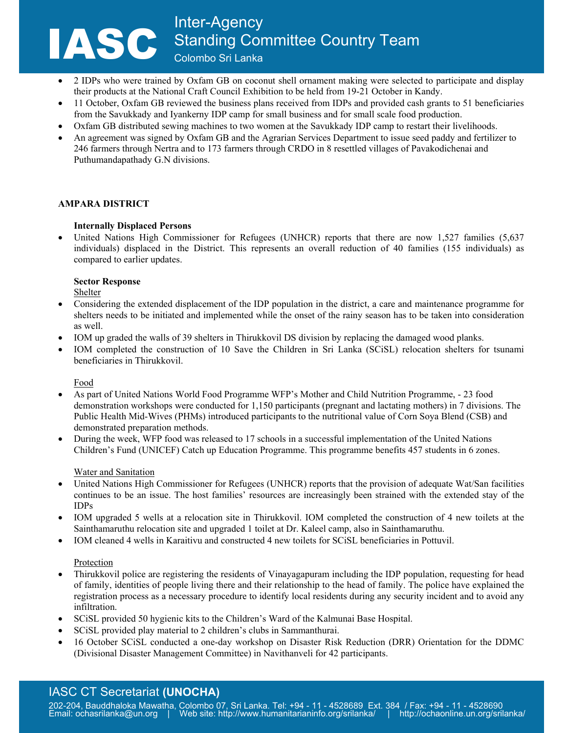- 2 IDPs who were trained by Oxfam GB on coconut shell ornament making were selected to participate and display their products at the National Craft Council Exhibition to be held from 19-21 October in Kandy.
- 11 October, Oxfam GB reviewed the business plans received from IDPs and provided cash grants to 51 beneficiaries from the Savukkady and Iyankerny IDP camp for small business and for small scale food production.
- Oxfam GB distributed sewing machines to two women at the Savukkady IDP camp to restart their livelihoods.
- An agreement was signed by Oxfam GB and the Agrarian Services Department to issue seed paddy and fertilizer to 246 farmers through Nertra and to 173 farmers through CRDO in 8 resettled villages of Pavakodichenai and Puthumandapathady G.N divisions.

## **AMPARA DISTRICT**

## **Internally Displaced Persons**

United Nations High Commissioner for Refugees (UNHCR) reports that there are now 1,527 families (5,637) individuals) displaced in the District. This represents an overall reduction of 40 families (155 individuals) as compared to earlier updates.

### **Sector Response**

Shelter

- Considering the extended displacement of the IDP population in the district, a care and maintenance programme for shelters needs to be initiated and implemented while the onset of the rainy season has to be taken into consideration as well.
- IOM up graded the walls of 39 shelters in Thirukkovil DS division by replacing the damaged wood planks.
- IOM completed the construction of 10 Save the Children in Sri Lanka (SCiSL) relocation shelters for tsunami beneficiaries in Thirukkovil.

### Food

- As part of United Nations World Food Programme WFP's Mother and Child Nutrition Programme, 23 food demonstration workshops were conducted for 1,150 participants (pregnant and lactating mothers) in 7 divisions. The Public Health Mid-Wives (PHMs) introduced participants to the nutritional value of Corn Soya Blend (CSB) and demonstrated preparation methods.
- During the week, WFP food was released to 17 schools in a successful implementation of the United Nations Children's Fund (UNICEF) Catch up Education Programme. This programme benefits 457 students in 6 zones.

### Water and Sanitation

- United Nations High Commissioner for Refugees (UNHCR) reports that the provision of adequate Wat/San facilities continues to be an issue. The host families' resources are increasingly been strained with the extended stay of the IDPs
- IOM upgraded 5 wells at a relocation site in Thirukkovil. IOM completed the construction of 4 new toilets at the Sainthamaruthu relocation site and upgraded 1 toilet at Dr. Kaleel camp, also in Sainthamaruthu.
- IOM cleaned 4 wells in Karaitivu and constructed 4 new toilets for SCiSL beneficiaries in Pottuvil.

### Protection

- Thirukkovil police are registering the residents of Vinayagapuram including the IDP population, requesting for head of family, identities of people living there and their relationship to the head of family. The police have explained the registration process as a necessary procedure to identify local residents during any security incident and to avoid any infiltration.
- SCiSL provided 50 hygienic kits to the Children's Ward of the Kalmunai Base Hospital.
- SCiSL provided play material to 2 children's clubs in Sammanthurai.
- 16 October SCiSL conducted a one-day workshop on Disaster Risk Reduction (DRR) Orientation for the DDMC (Divisional Disaster Management Committee) in Navithanveli for 42 participants.

# IASC CT Secretariat **(UNOCHA)**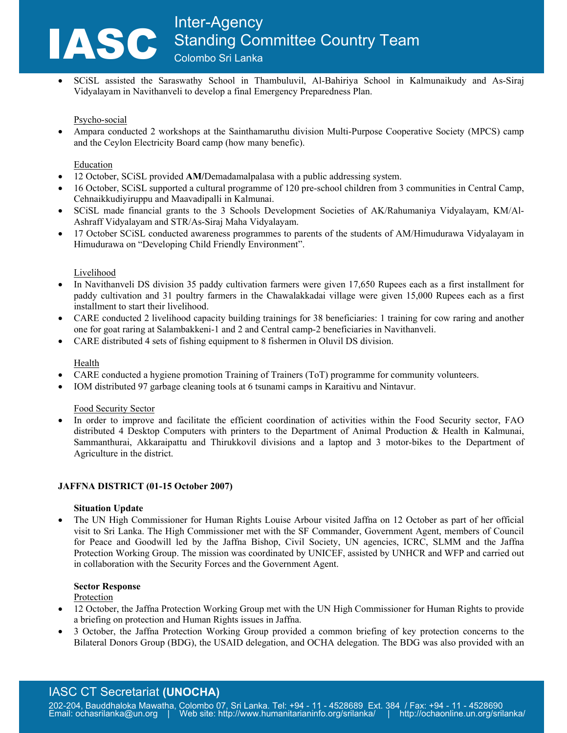• SCiSL assisted the Saraswathy School in Thambuluvil, Al-Bahiriya School in Kalmunaikudy and As-Siraj Vidyalayam in Navithanveli to develop a final Emergency Preparedness Plan.

### Psycho-social

• Ampara conducted 2 workshops at the Sainthamaruthu division Multi-Purpose Cooperative Society (MPCS) camp and the Ceylon Electricity Board camp (how many benefic).

### Education

- 12 October, SCiSL provided **AM/**Demadamalpalasa with a public addressing system.
- 16 October, SCiSL supported a cultural programme of 120 pre-school children from 3 communities in Central Camp, Cehnaikkudiyiruppu and Maavadipalli in Kalmunai.
- SCiSL made financial grants to the 3 Schools Development Societies of AK/Rahumaniya Vidyalayam, KM/Al-Ashraff Vidyalayam and STR/As-Siraj Maha Vidyalayam.
- 17 October SCiSL conducted awareness programmes to parents of the students of AM/Himudurawa Vidyalayam in Himudurawa on "Developing Child Friendly Environment".

## Livelihood

- In Navithanveli DS division 35 paddy cultivation farmers were given 17,650 Rupees each as a first installment for paddy cultivation and 31 poultry farmers in the Chawalakkadai village were given 15,000 Rupees each as a first installment to start their livelihood.
- CARE conducted 2 livelihood capacity building trainings for 38 beneficiaries: 1 training for cow raring and another one for goat raring at Salambakkeni-1 and 2 and Central camp-2 beneficiaries in Navithanveli.
- CARE distributed 4 sets of fishing equipment to 8 fishermen in Oluvil DS division.

## Health

- CARE conducted a hygiene promotion Training of Trainers (ToT) programme for community volunteers.
- IOM distributed 97 garbage cleaning tools at 6 tsunami camps in Karaitivu and Nintavur.

### Food Security Sector

In order to improve and facilitate the efficient coordination of activities within the Food Security sector, FAO distributed 4 Desktop Computers with printers to the Department of Animal Production & Health in Kalmunai, Sammanthurai, Akkaraipattu and Thirukkovil divisions and a laptop and 3 motor-bikes to the Department of Agriculture in the district.

### **JAFFNA DISTRICT (01-15 October 2007)**

### **Situation Update**

• The UN High Commissioner for Human Rights Louise Arbour visited Jaffna on 12 October as part of her official visit to Sri Lanka. The High Commissioner met with the SF Commander, Government Agent, members of Council for Peace and Goodwill led by the Jaffna Bishop, Civil Society, UN agencies, ICRC, SLMM and the Jaffna Protection Working Group. The mission was coordinated by UNICEF, assisted by UNHCR and WFP and carried out in collaboration with the Security Forces and the Government Agent.

### **Sector Response**

Protection

- 12 October, the Jaffna Protection Working Group met with the UN High Commissioner for Human Rights to provide a briefing on protection and Human Rights issues in Jaffna.
- 3 October, the Jaffna Protection Working Group provided a common briefing of key protection concerns to the Bilateral Donors Group (BDG), the USAID delegation, and OCHA delegation. The BDG was also provided with an

# IASC CT Secretariat **(UNOCHA)**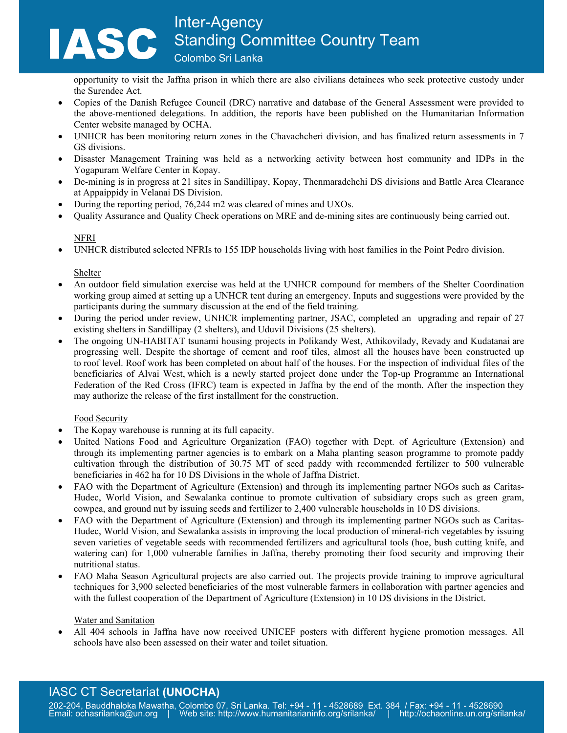opportunity to visit the Jaffna prison in which there are also civilians detainees who seek protective custody under the Surendee Act.

- Copies of the Danish Refugee Council (DRC) narrative and database of the General Assessment were provided to the above-mentioned delegations. In addition, the reports have been published on the Humanitarian Information Center website managed by OCHA.
- UNHCR has been monitoring return zones in the Chavachcheri division, and has finalized return assessments in 7 GS divisions.
- Disaster Management Training was held as a networking activity between host community and IDPs in the Yogapuram Welfare Center in Kopay.
- De-mining is in progress at 21 sites in Sandillipay, Kopay, Thenmaradchchi DS divisions and Battle Area Clearance at Appaippidy in Velanai DS Division.
- During the reporting period, 76,244 m2 was cleared of mines and UXOs.
- Quality Assurance and Quality Check operations on MRE and de-mining sites are continuously being carried out.

# NFRI

• UNHCR distributed selected NFRIs to 155 IDP households living with host families in the Point Pedro division.

# Shelter

- An outdoor field simulation exercise was held at the UNHCR compound for members of the Shelter Coordination working group aimed at setting up a UNHCR tent during an emergency. Inputs and suggestions were provided by the participants during the summary discussion at the end of the field training.
- During the period under review, UNHCR implementing partner, JSAC, completed an upgrading and repair of 27 existing shelters in Sandillipay (2 shelters), and Uduvil Divisions (25 shelters).
- The ongoing UN-HABITAT tsunami housing projects in Polikandy West, Athikovilady, Revady and Kudatanai are progressing well. Despite the shortage of cement and roof tiles, almost all the houses have been constructed up to roof level. Roof work has been completed on about half of the houses. For the inspection of individual files of the beneficiaries of Alvai West, which is a newly started project done under the Top-up Programme an International Federation of the Red Cross (IFRC) team is expected in Jaffna by the end of the month. After the inspection they may authorize the release of the first installment for the construction.

# Food Security

- The Kopay warehouse is running at its full capacity.
- United Nations Food and Agriculture Organization (FAO) together with Dept. of Agriculture (Extension) and through its implementing partner agencies is to embark on a Maha planting season programme to promote paddy cultivation through the distribution of 30.75 MT of seed paddy with recommended fertilizer to 500 vulnerable beneficiaries in 462 ha for 10 DS Divisions in the whole of Jaffna District.
- FAO with the Department of Agriculture (Extension) and through its implementing partner NGOs such as Caritas-Hudec, World Vision, and Sewalanka continue to promote cultivation of subsidiary crops such as green gram, cowpea, and ground nut by issuing seeds and fertilizer to 2,400 vulnerable households in 10 DS divisions.
- FAO with the Department of Agriculture (Extension) and through its implementing partner NGOs such as Caritas-Hudec, World Vision, and Sewalanka assists in improving the local production of mineral-rich vegetables by issuing seven varieties of vegetable seeds with recommended fertilizers and agricultural tools (hoe, bush cutting knife, and watering can) for 1,000 vulnerable families in Jaffna, thereby promoting their food security and improving their nutritional status.
- FAO Maha Season Agricultural projects are also carried out. The projects provide training to improve agricultural techniques for 3,900 selected beneficiaries of the most vulnerable farmers in collaboration with partner agencies and with the fullest cooperation of the Department of Agriculture (Extension) in 10 DS divisions in the District.

# Water and Sanitation

• All 404 schools in Jaffna have now received UNICEF posters with different hygiene promotion messages. All schools have also been assessed on their water and toilet situation.

# IASC CT Secretariat **(UNOCHA)**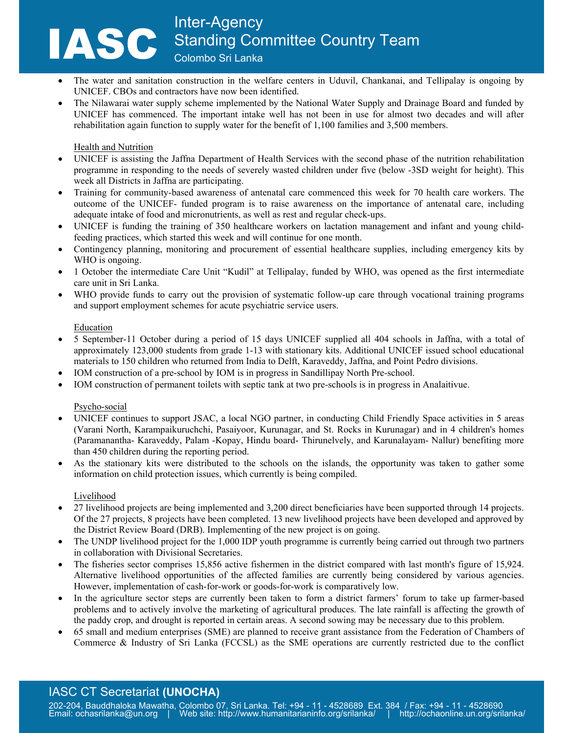- The water and sanitation construction in the welfare centers in Uduvil, Chankanai, and Tellipalay is ongoing by UNICEF. CBOs and contractors have now been identified.
- The Nilawarai water supply scheme implemented by the National Water Supply and Drainage Board and funded by UNICEF has commenced. The important intake well has not been in use for almost two decades and will after rehabilitation again function to supply water for the benefit of 1,100 families and 3,500 members.

# Health and Nutrition

- UNICEF is assisting the Jaffna Department of Health Services with the second phase of the nutrition rehabilitation programme in responding to the needs of severely wasted children under five (below -3SD weight for height). This week all Districts in Jaffna are participating.
- Training for community-based awareness of antenatal care commenced this week for 70 health care workers. The outcome of the UNICEF- funded program is to raise awareness on the importance of antenatal care, including adequate intake of food and micronutrients, as well as rest and regular check-ups.
- UNICEF is funding the training of 350 healthcare workers on lactation management and infant and young childfeeding practices, which started this week and will continue for one month.
- Contingency planning, monitoring and procurement of essential healthcare supplies, including emergency kits by WHO is ongoing.
- 1 October the intermediate Care Unit "Kudil" at Tellipalay, funded by WHO, was opened as the first intermediate care unit in Sri Lanka.
- WHO provide funds to carry out the provision of systematic follow-up care through vocational training programs and support employment schemes for acute psychiatric service users.

# Education

- 5 September-11 October during a period of 15 days UNICEF supplied all 404 schools in Jaffna, with a total of approximately 123,000 students from grade 1-13 with stationary kits. Additional UNICEF issued school educational materials to 150 children who returned from India to Delft, Karaveddy, Jaffna, and Point Pedro divisions.
- IOM construction of a pre-school by IOM is in progress in Sandillipay North Pre-school.
- IOM construction of permanent toilets with septic tank at two pre-schools is in progress in Analaitivue.

# Psycho-social

- UNICEF continues to support JSAC, a local NGO partner, in conducting Child Friendly Space activities in 5 areas (Varani North, Karampaikuruchchi, Pasaiyoor, Kurunagar, and St. Rocks in Kurunagar) and in 4 children's homes (Paramanantha- Karaveddy, Palam -Kopay, Hindu board- Thirunelvely, and Karunalayam- Nallur) benefiting more than 450 children during the reporting period.
- As the stationary kits were distributed to the schools on the islands, the opportunity was taken to gather some information on child protection issues, which currently is being compiled.

# Livelihood

- 27 livelihood projects are being implemented and 3,200 direct beneficiaries have been supported through 14 projects. Of the 27 projects, 8 projects have been completed. 13 new livelihood projects have been developed and approved by the District Review Board (DRB). Implementing of the new project is on going.
- The UNDP livelihood project for the 1,000 IDP youth programme is currently being carried out through two partners in collaboration with Divisional Secretaries.
- The fisheries sector comprises 15,856 active fishermen in the district compared with last month's figure of 15,924. Alternative livelihood opportunities of the affected families are currently being considered by various agencies. However, implementation of cash-for-work or goods-for-work is comparatively low.
- In the agriculture sector steps are currently been taken to form a district farmers' forum to take up farmer-based problems and to actively involve the marketing of agricultural produces. The late rainfall is affecting the growth of the paddy crop, and drought is reported in certain areas. A second sowing may be necessary due to this problem.
- 65 small and medium enterprises (SME) are planned to receive grant assistance from the Federation of Chambers of Commerce & Industry of Sri Lanka (FCCSL) as the SME operations are currently restricted due to the conflict

# IASC CT Secretariat **(UNOCHA)**